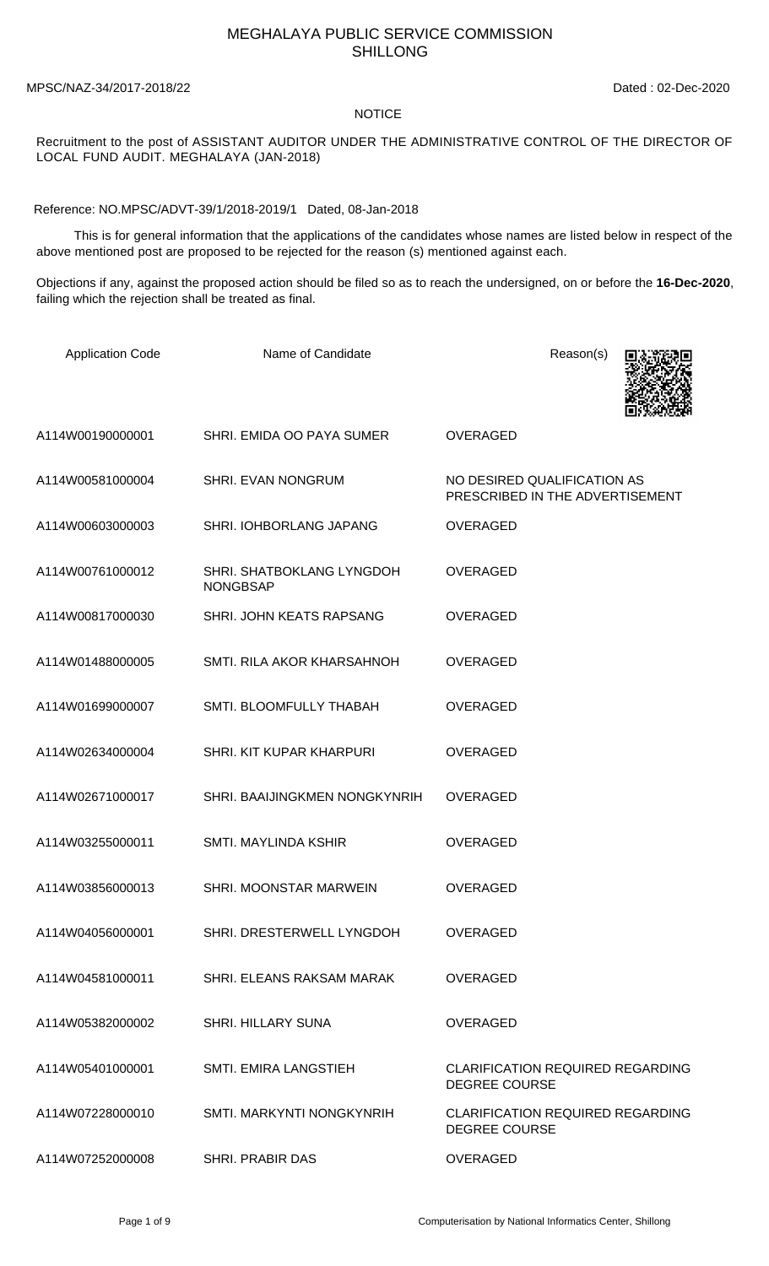## MEGHALAYA PUBLIC SERVICE COMMISSION SHILLONG

MPSC/NAZ-34/2017-2018/22 Dated : 02-Dec-2020

## NOTICE

## Recruitment to the post of ASSISTANT AUDITOR UNDER THE ADMINISTRATIVE CONTROL OF THE DIRECTOR OF LOCAL FUND AUDIT. MEGHALAYA (JAN-2018)

Reference: NO.MPSC/ADVT-39/1/2018-2019/1 Dated, 08-Jan-2018

 This is for general information that the applications of the candidates whose names are listed below in respect of the above mentioned post are proposed to be rejected for the reason (s) mentioned against each.

Objections if any, against the proposed action should be filed so as to reach the undersigned, on or before the **16-Dec-2020**, failing which the rejection shall be treated as final.

| <b>Application Code</b> | Name of Candidate                            | Reason(s)                                                       |
|-------------------------|----------------------------------------------|-----------------------------------------------------------------|
|                         |                                              |                                                                 |
| A114W00190000001        | SHRI. EMIDA OO PAYA SUMER                    | <b>OVERAGED</b>                                                 |
| A114W00581000004        | SHRI. EVAN NONGRUM                           | NO DESIRED QUALIFICATION AS<br>PRESCRIBED IN THE ADVERTISEMENT  |
| A114W00603000003        | SHRI. IOHBORLANG JAPANG                      | <b>OVERAGED</b>                                                 |
| A114W00761000012        | SHRI. SHATBOKLANG LYNGDOH<br><b>NONGBSAP</b> | <b>OVERAGED</b>                                                 |
| A114W00817000030        | SHRI. JOHN KEATS RAPSANG                     | <b>OVERAGED</b>                                                 |
| A114W01488000005        | SMTI. RILA AKOR KHARSAHNOH                   | <b>OVERAGED</b>                                                 |
| A114W01699000007        | SMTI. BLOOMFULLY THABAH                      | <b>OVERAGED</b>                                                 |
| A114W02634000004        | SHRI. KIT KUPAR KHARPURI                     | <b>OVERAGED</b>                                                 |
| A114W02671000017        | SHRI. BAAIJINGKMEN NONGKYNRIH                | <b>OVERAGED</b>                                                 |
| A114W03255000011        | SMTI. MAYLINDA KSHIR                         | <b>OVERAGED</b>                                                 |
| A114W03856000013        | SHRI. MOONSTAR MARWEIN                       | <b>OVERAGED</b>                                                 |
| A114W04056000001        | SHRI. DRESTERWELL LYNGDOH                    | <b>OVERAGED</b>                                                 |
| A114W04581000011        | SHRI. ELEANS RAKSAM MARAK                    | <b>OVERAGED</b>                                                 |
| A114W05382000002        | <b>SHRI. HILLARY SUNA</b>                    | <b>OVERAGED</b>                                                 |
| A114W05401000001        | <b>SMTI. EMIRA LANGSTIEH</b>                 | <b>CLARIFICATION REQUIRED REGARDING</b><br><b>DEGREE COURSE</b> |
| A114W07228000010        | SMTI, MARKYNTI NONGKYNRIH                    | <b>CLARIFICATION REQUIRED REGARDING</b><br><b>DEGREE COURSE</b> |
| A114W07252000008        | <b>SHRI. PRABIR DAS</b>                      | <b>OVERAGED</b>                                                 |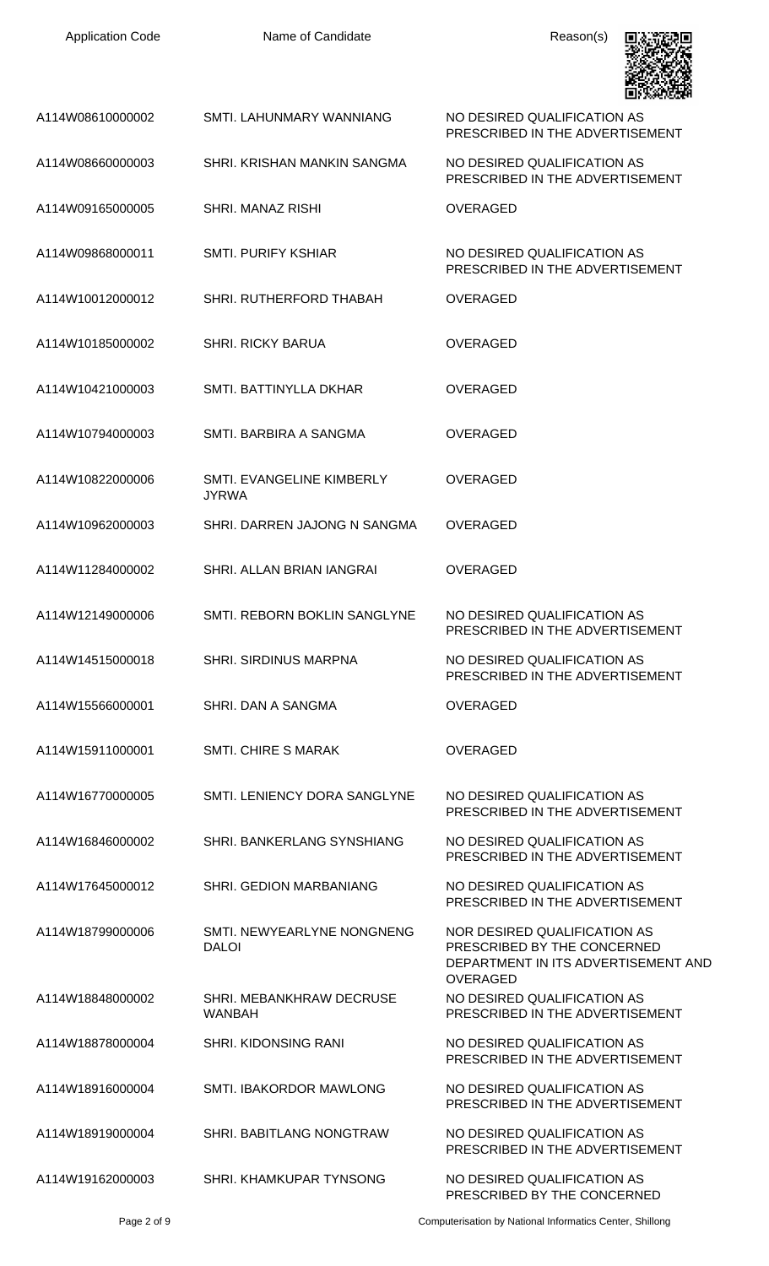| <b>Application Code</b> | Name of Candidate                          | Reason(s)                                                                                                             |
|-------------------------|--------------------------------------------|-----------------------------------------------------------------------------------------------------------------------|
| A114W08610000002        | SMTI. LAHUNMARY WANNIANG                   | NO DESIRED QUALIFICATION AS<br>PRESCRIBED IN THE ADVERTISEMENT                                                        |
| A114W08660000003        | SHRI, KRISHAN MANKIN SANGMA                | NO DESIRED QUALIFICATION AS<br>PRESCRIBED IN THE ADVERTISEMENT                                                        |
| A114W09165000005        | SHRI, MANAZ RISHI                          | <b>OVERAGED</b>                                                                                                       |
| A114W09868000011        | <b>SMTI. PURIFY KSHIAR</b>                 | NO DESIRED QUALIFICATION AS<br>PRESCRIBED IN THE ADVERTISEMENT                                                        |
| A114W10012000012        | SHRI. RUTHERFORD THABAH                    | <b>OVERAGED</b>                                                                                                       |
| A114W10185000002        | <b>SHRI. RICKY BARUA</b>                   | <b>OVERAGED</b>                                                                                                       |
| A114W10421000003        | SMTI. BATTINYLLA DKHAR                     | <b>OVERAGED</b>                                                                                                       |
| A114W10794000003        | SMTI. BARBIRA A SANGMA                     | <b>OVERAGED</b>                                                                                                       |
| A114W10822000006        | SMTI. EVANGELINE KIMBERLY<br><b>JYRWA</b>  | <b>OVERAGED</b>                                                                                                       |
| A114W10962000003        | SHRI. DARREN JAJONG N SANGMA               | <b>OVERAGED</b>                                                                                                       |
| A114W11284000002        | SHRI. ALLAN BRIAN IANGRAI                  | <b>OVERAGED</b>                                                                                                       |
| A114W12149000006        | <b>SMTI. REBORN BOKLIN SANGLYNE</b>        | NO DESIRED QUALIFICATION AS<br>PRESCRIBED IN THE ADVERTISEMENT                                                        |
| A114W14515000018        | <b>SHRI. SIRDINUS MARPNA</b>               | NO DESIRED QUALIFICATION AS<br>PRESCRIBED IN THE ADVERTISEMENT                                                        |
| A114W15566000001        | SHRI. DAN A SANGMA                         | <b>OVERAGED</b>                                                                                                       |
| A114W15911000001        | <b>SMTI. CHIRE S MARAK</b>                 | <b>OVERAGED</b>                                                                                                       |
| A114W16770000005        | SMTI. LENIENCY DORA SANGLYNE               | NO DESIRED QUALIFICATION AS<br>PRESCRIBED IN THE ADVERTISEMENT                                                        |
| A114W16846000002        | SHRI. BANKERLANG SYNSHIANG                 | NO DESIRED QUALIFICATION AS<br>PRESCRIBED IN THE ADVERTISEMENT                                                        |
| A114W17645000012        | <b>SHRI. GEDION MARBANIANG</b>             | NO DESIRED QUALIFICATION AS<br>PRESCRIBED IN THE ADVERTISEMENT                                                        |
| A114W18799000006        | SMTI. NEWYEARLYNE NONGNENG<br><b>DALOI</b> | NOR DESIRED QUALIFICATION AS<br>PRESCRIBED BY THE CONCERNED<br>DEPARTMENT IN ITS ADVERTISEMENT AND<br><b>OVERAGED</b> |
| A114W18848000002        | SHRI. MEBANKHRAW DECRUSE<br><b>WANBAH</b>  | NO DESIRED QUALIFICATION AS<br>PRESCRIBED IN THE ADVERTISEMENT                                                        |
| A114W18878000004        | <b>SHRI. KIDONSING RANI</b>                | NO DESIRED QUALIFICATION AS<br>PRESCRIBED IN THE ADVERTISEMENT                                                        |
| A114W18916000004        | SMTI. IBAKORDOR MAWLONG                    | NO DESIRED QUALIFICATION AS<br>PRESCRIBED IN THE ADVERTISEMENT                                                        |
| A114W18919000004        | SHRI. BABITLANG NONGTRAW                   | NO DESIRED QUALIFICATION AS<br>PRESCRIBED IN THE ADVERTISEMENT                                                        |
| A114W19162000003        | SHRI. KHAMKUPAR TYNSONG                    | NO DESIRED QUALIFICATION AS<br>PRESCRIBED BY THE CONCERNED                                                            |

Page 2 of 9 Computerisation by National Informatics Center, Shillong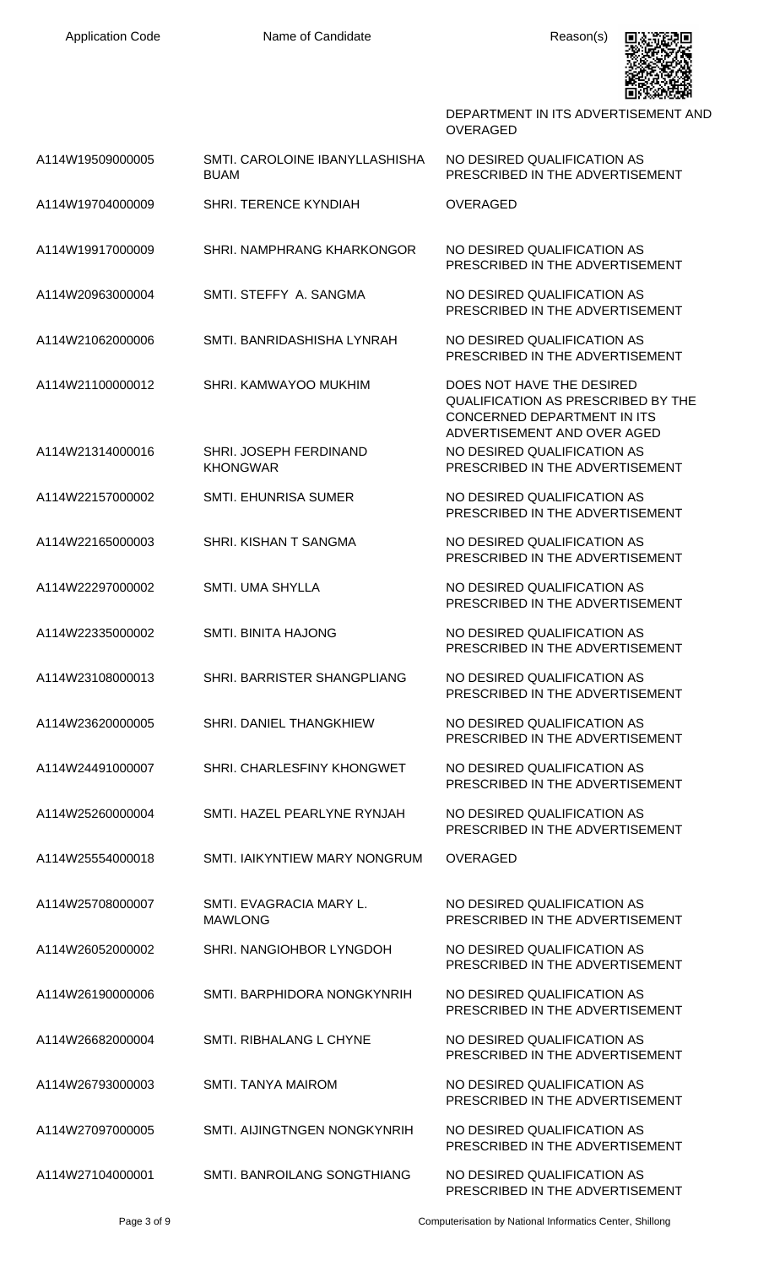

DEPARTMENT IN ITS ADVERTISEMENT AND OVERAGED

| A114W19509000005 | SMTI. CAROLOINE IBANYLLASHISHA<br><b>BUAM</b> | NO DESIRED QUALIFICATION AS<br>PRESCRIBED IN THE ADVERTISEMENT                                                                       |
|------------------|-----------------------------------------------|--------------------------------------------------------------------------------------------------------------------------------------|
| A114W19704000009 | SHRI. TERENCE KYNDIAH                         | <b>OVERAGED</b>                                                                                                                      |
| A114W19917000009 | SHRI. NAMPHRANG KHARKONGOR                    | NO DESIRED QUALIFICATION AS<br>PRESCRIBED IN THE ADVERTISEMENT                                                                       |
| A114W20963000004 | SMTI, STEFFY A, SANGMA                        | NO DESIRED QUALIFICATION AS<br>PRESCRIBED IN THE ADVERTISEMENT                                                                       |
| A114W21062000006 | SMTI. BANRIDASHISHA LYNRAH                    | NO DESIRED QUALIFICATION AS<br>PRESCRIBED IN THE ADVERTISEMENT                                                                       |
| A114W21100000012 | SHRI. KAMWAYOO MUKHIM                         | DOES NOT HAVE THE DESIRED<br><b>QUALIFICATION AS PRESCRIBED BY THE</b><br>CONCERNED DEPARTMENT IN ITS<br>ADVERTISEMENT AND OVER AGED |
| A114W21314000016 | SHRI. JOSEPH FERDINAND<br><b>KHONGWAR</b>     | NO DESIRED QUALIFICATION AS<br>PRESCRIBED IN THE ADVERTISEMENT                                                                       |
| A114W22157000002 | <b>SMTI. EHUNRISA SUMER</b>                   | NO DESIRED QUALIFICATION AS<br>PRESCRIBED IN THE ADVERTISEMENT                                                                       |
| A114W22165000003 | SHRI. KISHAN T SANGMA                         | NO DESIRED QUALIFICATION AS<br>PRESCRIBED IN THE ADVERTISEMENT                                                                       |
| A114W22297000002 | <b>SMTI. UMA SHYLLA</b>                       | NO DESIRED QUALIFICATION AS<br>PRESCRIBED IN THE ADVERTISEMENT                                                                       |
| A114W22335000002 | <b>SMTI. BINITA HAJONG</b>                    | NO DESIRED QUALIFICATION AS<br>PRESCRIBED IN THE ADVERTISEMENT                                                                       |
| A114W23108000013 | SHRI. BARRISTER SHANGPLIANG                   | NO DESIRED QUALIFICATION AS<br>PRESCRIBED IN THE ADVERTISEMENT                                                                       |
| A114W23620000005 | SHRI. DANIEL THANGKHIEW                       | NO DESIRED QUALIFICATION AS<br>PRESCRIBED IN THE ADVERTISEMENT                                                                       |
| A114W24491000007 | SHRI. CHARLESFINY KHONGWET                    | NO DESIRED QUALIFICATION AS<br>PRESCRIBED IN THE ADVERTISEMENT                                                                       |
| A114W25260000004 | SMTI. HAZEL PEARLYNE RYNJAH                   | NO DESIRED QUALIFICATION AS<br>PRESCRIBED IN THE ADVERTISEMENT                                                                       |
| A114W25554000018 | SMTI. IAIKYNTIEW MARY NONGRUM                 | <b>OVERAGED</b>                                                                                                                      |
| A114W25708000007 | SMTI. EVAGRACIA MARY L.<br><b>MAWLONG</b>     | NO DESIRED QUALIFICATION AS<br>PRESCRIBED IN THE ADVERTISEMENT                                                                       |
| A114W26052000002 | SHRI. NANGIOHBOR LYNGDOH                      | NO DESIRED QUALIFICATION AS<br>PRESCRIBED IN THE ADVERTISEMENT                                                                       |
| A114W26190000006 | SMTI. BARPHIDORA NONGKYNRIH                   | NO DESIRED QUALIFICATION AS<br>PRESCRIBED IN THE ADVERTISEMENT                                                                       |
| A114W26682000004 | SMTI. RIBHALANG L CHYNE                       | NO DESIRED QUALIFICATION AS<br>PRESCRIBED IN THE ADVERTISEMENT                                                                       |
| A114W26793000003 | <b>SMTI. TANYA MAIROM</b>                     | NO DESIRED QUALIFICATION AS<br>PRESCRIBED IN THE ADVERTISEMENT                                                                       |
| A114W27097000005 | SMTI. AIJINGTNGEN NONGKYNRIH                  | NO DESIRED QUALIFICATION AS<br>PRESCRIBED IN THE ADVERTISEMENT                                                                       |
| A114W27104000001 | SMTI. BANROILANG SONGTHIANG                   | NO DESIRED QUALIFICATION AS                                                                                                          |

Page 3 of 9 Computerisation by National Informatics Center, Shillong

PRESCRIBED IN THE ADVERTISEMENT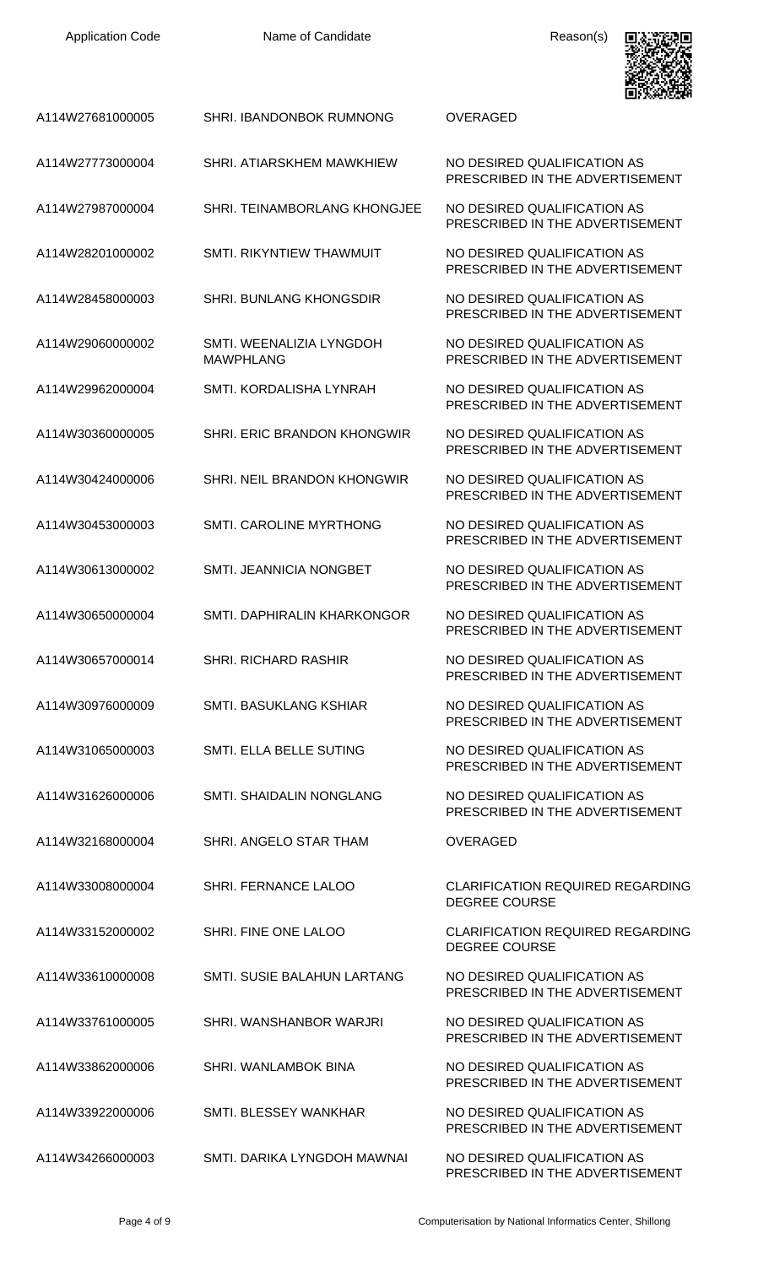

| A114W27681000005 | <b>SHRI. IBANDONBOK RUMNONG</b>              | <b>OVERAGED</b>                                                 |
|------------------|----------------------------------------------|-----------------------------------------------------------------|
| A114W27773000004 | SHRI. ATIARSKHEM MAWKHIEW                    | NO DESIRED QUALIFICATION AS<br>PRESCRIBED IN THE ADVERTISEMENT  |
| A114W27987000004 | SHRI. TEINAMBORLANG KHONGJEE                 | NO DESIRED QUALIFICATION AS<br>PRESCRIBED IN THE ADVERTISEMENT  |
| A114W28201000002 | <b>SMTI. RIKYNTIEW THAWMUIT</b>              | NO DESIRED QUALIFICATION AS<br>PRESCRIBED IN THE ADVERTISEMENT  |
| A114W28458000003 | SHRI. BUNLANG KHONGSDIR                      | NO DESIRED QUALIFICATION AS<br>PRESCRIBED IN THE ADVERTISEMENT  |
| A114W29060000002 | SMTI. WEENALIZIA LYNGDOH<br><b>MAWPHLANG</b> | NO DESIRED QUALIFICATION AS<br>PRESCRIBED IN THE ADVERTISEMENT  |
| A114W29962000004 | SMTI. KORDALISHA LYNRAH                      | NO DESIRED QUALIFICATION AS<br>PRESCRIBED IN THE ADVERTISEMENT  |
| A114W30360000005 | SHRI. ERIC BRANDON KHONGWIR                  | NO DESIRED QUALIFICATION AS<br>PRESCRIBED IN THE ADVERTISEMENT  |
| A114W30424000006 | SHRI. NEIL BRANDON KHONGWIR                  | NO DESIRED QUALIFICATION AS<br>PRESCRIBED IN THE ADVERTISEMENT  |
| A114W30453000003 | SMTI. CAROLINE MYRTHONG                      | NO DESIRED QUALIFICATION AS<br>PRESCRIBED IN THE ADVERTISEMENT  |
| A114W30613000002 | SMTI. JEANNICIA NONGBET                      | NO DESIRED QUALIFICATION AS<br>PRESCRIBED IN THE ADVERTISEMENT  |
| A114W30650000004 | SMTI. DAPHIRALIN KHARKONGOR                  | NO DESIRED QUALIFICATION AS<br>PRESCRIBED IN THE ADVERTISEMENT  |
| A114W30657000014 | <b>SHRI. RICHARD RASHIR</b>                  | NO DESIRED QUALIFICATION AS<br>PRESCRIBED IN THE ADVERTISEMENT  |
| A114W30976000009 | <b>SMTI. BASUKLANG KSHIAR</b>                | NO DESIRED QUALIFICATION AS<br>PRESCRIBED IN THE ADVERTISEMENT  |
| A114W31065000003 | SMTI. ELLA BELLE SUTING                      | NO DESIRED QUALIFICATION AS<br>PRESCRIBED IN THE ADVERTISEMENT  |
| A114W31626000006 | SMTI. SHAIDALIN NONGLANG                     | NO DESIRED QUALIFICATION AS<br>PRESCRIBED IN THE ADVERTISEMENT  |
| A114W32168000004 | SHRI. ANGELO STAR THAM                       | <b>OVERAGED</b>                                                 |
| A114W33008000004 | SHRI. FERNANCE LALOO                         | <b>CLARIFICATION REQUIRED REGARDING</b><br><b>DEGREE COURSE</b> |
| A114W33152000002 | SHRI. FINE ONE LALOO                         | <b>CLARIFICATION REQUIRED REGARDING</b><br><b>DEGREE COURSE</b> |
| A114W33610000008 | <b>SMTI. SUSIE BALAHUN LARTANG</b>           | NO DESIRED QUALIFICATION AS<br>PRESCRIBED IN THE ADVERTISEMENT  |
| A114W33761000005 | SHRI. WANSHANBOR WARJRI                      | NO DESIRED QUALIFICATION AS<br>PRESCRIBED IN THE ADVERTISEMENT  |
| A114W33862000006 | SHRI. WANLAMBOK BINA                         | NO DESIRED QUALIFICATION AS<br>PRESCRIBED IN THE ADVERTISEMENT  |
| A114W33922000006 | SMTI. BLESSEY WANKHAR                        | NO DESIRED QUALIFICATION AS<br>PRESCRIBED IN THE ADVERTISEMENT  |
| A114W34266000003 | SMTI. DARIKA LYNGDOH MAWNAI                  | NO DESIRED QUALIFICATION AS<br>PRESCRIBED IN THE ADVERTISEMENT  |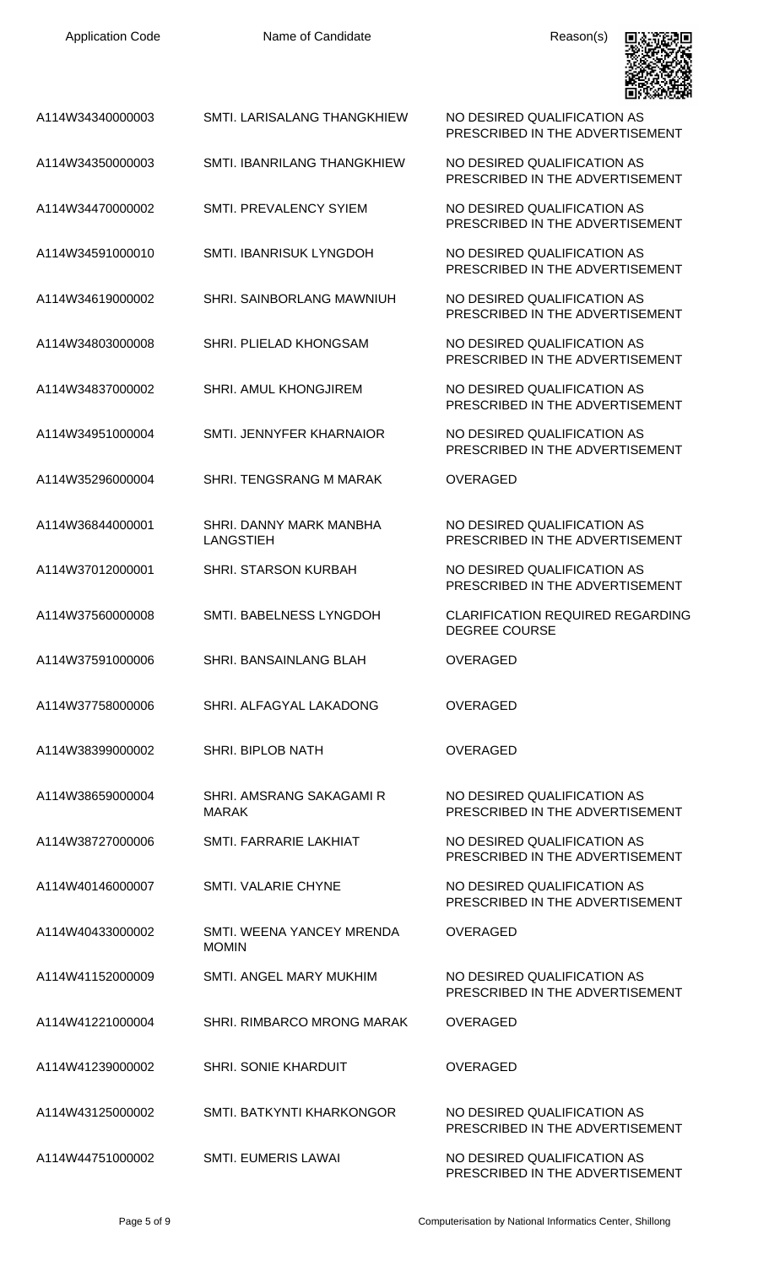| A114W34340000003 | SMTI. LARISALANG THANGKHIEW                 | NO DESIRED QUALIFICATION AS<br>PRESCRIBED IN THE ADVERTISEMENT  |
|------------------|---------------------------------------------|-----------------------------------------------------------------|
| A114W34350000003 | SMTI. IBANRILANG THANGKHIEW                 | NO DESIRED QUALIFICATION AS<br>PRESCRIBED IN THE ADVERTISEMENT  |
| A114W34470000002 | SMTI. PREVALENCY SYIEM                      | NO DESIRED QUALIFICATION AS<br>PRESCRIBED IN THE ADVERTISEMENT  |
| A114W34591000010 | SMTI. IBANRISUK LYNGDOH                     | NO DESIRED QUALIFICATION AS<br>PRESCRIBED IN THE ADVERTISEMENT  |
| A114W34619000002 | SHRI. SAINBORLANG MAWNIUH                   | NO DESIRED QUALIFICATION AS<br>PRESCRIBED IN THE ADVERTISEMENT  |
| A114W34803000008 | SHRI. PLIELAD KHONGSAM                      | NO DESIRED QUALIFICATION AS<br>PRESCRIBED IN THE ADVERTISEMENT  |
| A114W34837000002 | SHRI. AMUL KHONGJIREM                       | NO DESIRED QUALIFICATION AS<br>PRESCRIBED IN THE ADVERTISEMENT  |
| A114W34951000004 | SMTI. JENNYFER KHARNAIOR                    | NO DESIRED QUALIFICATION AS<br>PRESCRIBED IN THE ADVERTISEMENT  |
| A114W35296000004 | SHRI. TENGSRANG M MARAK                     | <b>OVERAGED</b>                                                 |
| A114W36844000001 | SHRI. DANNY MARK MANBHA<br><b>LANGSTIEH</b> | NO DESIRED QUALIFICATION AS<br>PRESCRIBED IN THE ADVERTISEMENT  |
| A114W37012000001 | <b>SHRI. STARSON KURBAH</b>                 | NO DESIRED QUALIFICATION AS<br>PRESCRIBED IN THE ADVERTISEMENT  |
| A114W37560000008 | SMTI. BABELNESS LYNGDOH                     | <b>CLARIFICATION REQUIRED REGARDING</b><br><b>DEGREE COURSE</b> |
| A114W37591000006 | SHRI. BANSAINLANG BLAH                      | <b>OVERAGED</b>                                                 |
| A114W37758000006 | SHRI. ALFAGYAL LAKADONG                     | <b>OVERAGED</b>                                                 |
| A114W38399000002 | SHRI. BIPLOB NATH                           | OVERAGED                                                        |
| A114W38659000004 | SHRI, AMSRANG SAKAGAMI R<br><b>MARAK</b>    | NO DESIRED QUALIFICATION AS<br>PRESCRIBED IN THE ADVERTISEMENT  |
| A114W38727000006 | SMTI. FARRARIE LAKHIAT                      | NO DESIRED QUALIFICATION AS<br>PRESCRIBED IN THE ADVERTISEMENT  |
| A114W40146000007 | <b>SMTI. VALARIE CHYNE</b>                  | NO DESIRED QUALIFICATION AS<br>PRESCRIBED IN THE ADVERTISEMENT  |
| A114W40433000002 | SMTI, WEENA YANCEY MRENDA<br><b>MOMIN</b>   | <b>OVERAGED</b>                                                 |
| A114W41152000009 | SMTI. ANGEL MARY MUKHIM                     | NO DESIRED QUALIFICATION AS<br>PRESCRIBED IN THE ADVERTISEMENT  |
| A114W41221000004 | SHRI, RIMBARCO MRONG MARAK                  | <b>OVERAGED</b>                                                 |
| A114W41239000002 | <b>SHRI. SONIE KHARDUIT</b>                 | <b>OVERAGED</b>                                                 |
| A114W43125000002 | SMTI. BATKYNTI KHARKONGOR                   | NO DESIRED QUALIFICATION AS<br>PRESCRIBED IN THE ADVERTISEMENT  |
| A114W44751000002 | <b>SMTI. EUMERIS LAWAI</b>                  | NO DESIRED QUALIFICATION AS<br>PRESCRIBED IN THE ADVERTISEMENT  |



Page 5 of 9 Computerisation by National Informatics Center, Shillong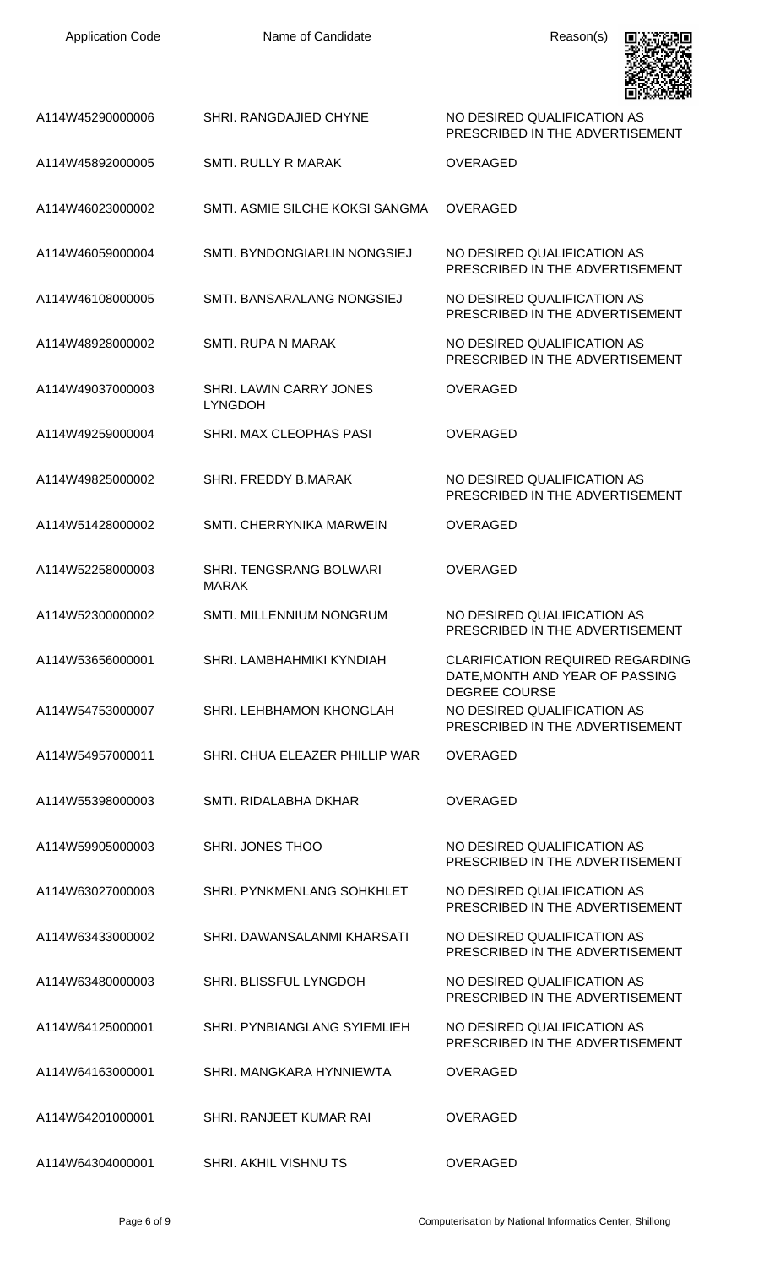| <b>Application Code</b> | Name of Candidate                              | Reason(s)                                                                                          |
|-------------------------|------------------------------------------------|----------------------------------------------------------------------------------------------------|
| A114W45290000006        | SHRI. RANGDAJIED CHYNE                         | NO DESIRED QUALIFICATION AS<br>PRESCRIBED IN THE ADVERTISEMENT                                     |
| A114W45892000005        | <b>SMTI. RULLY R MARAK</b>                     | <b>OVERAGED</b>                                                                                    |
| A114W46023000002        | SMTI, ASMIE SILCHE KOKSI SANGMA                | <b>OVERAGED</b>                                                                                    |
| A114W46059000004        | SMTI. BYNDONGIARLIN NONGSIEJ                   | NO DESIRED QUALIFICATION AS<br>PRESCRIBED IN THE ADVERTISEMENT                                     |
| A114W46108000005        | SMTI, BANSARALANG NONGSIEJ                     | NO DESIRED QUALIFICATION AS<br>PRESCRIBED IN THE ADVERTISEMENT                                     |
| A114W48928000002        | <b>SMTI. RUPA N MARAK</b>                      | NO DESIRED QUALIFICATION AS<br>PRESCRIBED IN THE ADVERTISEMENT                                     |
| A114W49037000003        | SHRI. LAWIN CARRY JONES<br><b>LYNGDOH</b>      | <b>OVERAGED</b>                                                                                    |
| A114W49259000004        | SHRI. MAX CLEOPHAS PASI                        | <b>OVERAGED</b>                                                                                    |
| A114W49825000002        | SHRI. FREDDY B.MARAK                           | NO DESIRED QUALIFICATION AS<br>PRESCRIBED IN THE ADVERTISEMENT                                     |
| A114W51428000002        | SMTI, CHERRYNIKA MARWEIN                       | <b>OVERAGED</b>                                                                                    |
| A114W52258000003        | <b>SHRI. TENGSRANG BOLWARI</b><br><b>MARAK</b> | <b>OVERAGED</b>                                                                                    |
| A114W52300000002        | SMTI. MILLENNIUM NONGRUM                       | NO DESIRED QUALIFICATION AS<br>PRESCRIBED IN THE ADVERTISEMENT                                     |
| A114W53656000001        | SHRI. LAMBHAHMIKI KYNDIAH                      | <b>CLARIFICATION REQUIRED REGARDING</b><br>DATE, MONTH AND YEAR OF PASSING<br><b>DEGREE COURSE</b> |
| A114W54753000007        | SHRI. LEHBHAMON KHONGLAH                       | NO DESIRED QUALIFICATION AS<br>PRESCRIBED IN THE ADVERTISEMENT                                     |
| A114W54957000011        | SHRI, CHUA ELEAZER PHILLIP WAR                 | <b>OVERAGED</b>                                                                                    |
| A114W55398000003        | SMTI. RIDALABHA DKHAR                          | <b>OVERAGED</b>                                                                                    |
| A114W59905000003        | SHRI. JONES THOO                               | NO DESIRED QUALIFICATION AS<br>PRESCRIBED IN THE ADVERTISEMENT                                     |
| A114W63027000003        | SHRI. PYNKMENLANG SOHKHLET                     | NO DESIRED QUALIFICATION AS<br>PRESCRIBED IN THE ADVERTISEMENT                                     |
| A114W63433000002        | SHRI, DAWANSALANMI KHARSATI                    | NO DESIRED QUALIFICATION AS<br>PRESCRIBED IN THE ADVERTISEMENT                                     |
| A114W63480000003        | <b>SHRI. BLISSFUL LYNGDOH</b>                  | NO DESIRED QUALIFICATION AS<br>PRESCRIBED IN THE ADVERTISEMENT                                     |
| A114W64125000001        | SHRI. PYNBIANGLANG SYIEMLIEH                   | NO DESIRED QUALIFICATION AS<br>PRESCRIBED IN THE ADVERTISEMENT                                     |
| A114W64163000001        | SHRI, MANGKARA HYNNIEWTA                       | <b>OVERAGED</b>                                                                                    |
| A114W64201000001        | SHRI. RANJEET KUMAR RAI                        | <b>OVERAGED</b>                                                                                    |
| A114W64304000001        | SHRI. AKHIL VISHNU TS                          | OVERAGED                                                                                           |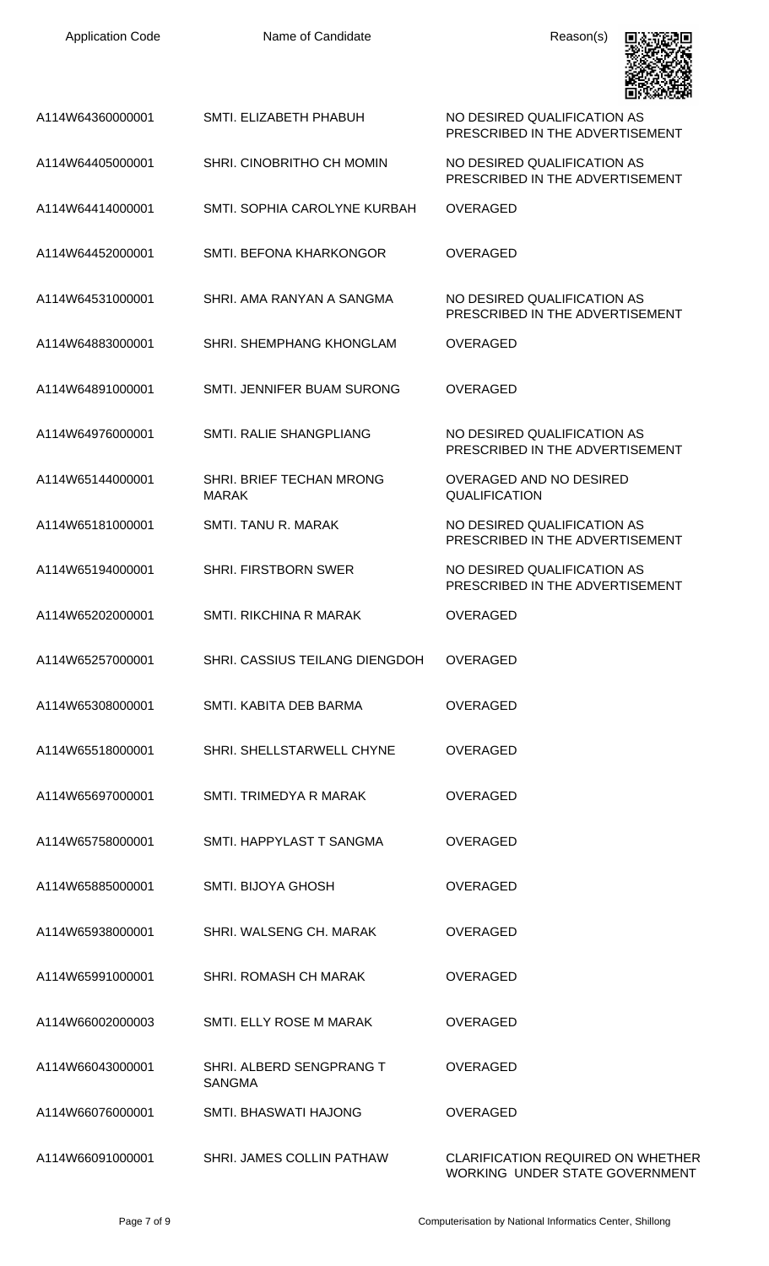| <b>Application Code</b> | Name of Candidate                         | Reason(s)                                                           |
|-------------------------|-------------------------------------------|---------------------------------------------------------------------|
| A114W64360000001        | SMTI. ELIZABETH PHABUH                    | NO DESIRED QUALIFICATION AS<br>PRESCRIBED IN THE ADVERTISEMENT      |
| A114W64405000001        | SHRI. CINOBRITHO CH MOMIN                 | NO DESIRED QUALIFICATION AS<br>PRESCRIBED IN THE ADVERTISEMENT      |
| A114W64414000001        | SMTI. SOPHIA CAROLYNE KURBAH              | <b>OVERAGED</b>                                                     |
| A114W64452000001        | SMTI. BEFONA KHARKONGOR                   | <b>OVERAGED</b>                                                     |
| A114W64531000001        | SHRI, AMA RANYAN A SANGMA                 | NO DESIRED QUALIFICATION AS<br>PRESCRIBED IN THE ADVERTISEMENT      |
| A114W64883000001        | SHRI. SHEMPHANG KHONGLAM                  | <b>OVERAGED</b>                                                     |
| A114W64891000001        | SMTI. JENNIFER BUAM SURONG                | <b>OVERAGED</b>                                                     |
| A114W64976000001        | SMTI. RALIE SHANGPLIANG                   | NO DESIRED QUALIFICATION AS<br>PRESCRIBED IN THE ADVERTISEMENT      |
| A114W65144000001        | SHRI. BRIEF TECHAN MRONG<br><b>MARAK</b>  | OVERAGED AND NO DESIRED<br><b>QUALIFICATION</b>                     |
| A114W65181000001        | SMTI. TANU R. MARAK                       | NO DESIRED QUALIFICATION AS<br>PRESCRIBED IN THE ADVERTISEMENT      |
| A114W65194000001        | <b>SHRI. FIRSTBORN SWER</b>               | NO DESIRED QUALIFICATION AS<br>PRESCRIBED IN THE ADVERTISEMENT      |
| A114W65202000001        | SMTI. RIKCHINA R MARAK                    | <b>OVERAGED</b>                                                     |
| A114W65257000001        | SHRI. CASSIUS TEILANG DIENGDOH            | <b>OVERAGED</b>                                                     |
| A114W65308000001        | SMTI. KABITA DEB BARMA                    | <b>OVERAGED</b>                                                     |
| A114W65518000001        | SHRI. SHELLSTARWELL CHYNE                 | <b>OVERAGED</b>                                                     |
| A114W65697000001        | SMTI. TRIMEDYA R MARAK                    | <b>OVERAGED</b>                                                     |
| A114W65758000001        | SMTI. HAPPYLAST T SANGMA                  | <b>OVERAGED</b>                                                     |
| A114W65885000001        | <b>SMTI. BIJOYA GHOSH</b>                 | <b>OVERAGED</b>                                                     |
| A114W65938000001        | SHRI. WALSENG CH. MARAK                   | <b>OVERAGED</b>                                                     |
| A114W65991000001        | SHRI. ROMASH CH MARAK                     | <b>OVERAGED</b>                                                     |
| A114W66002000003        | SMTI. ELLY ROSE M MARAK                   | <b>OVERAGED</b>                                                     |
| A114W66043000001        | SHRI. ALBERD SENGPRANG T<br><b>SANGMA</b> | <b>OVERAGED</b>                                                     |
| A114W66076000001        | SMTL BHASWATI HAJONG                      | <b>OVERAGED</b>                                                     |
| A114W66091000001        | SHRI. JAMES COLLIN PATHAW                 | CLARIFICATION REQUIRED ON WHETHER<br>WORKING UNDER STATE GOVERNMENT |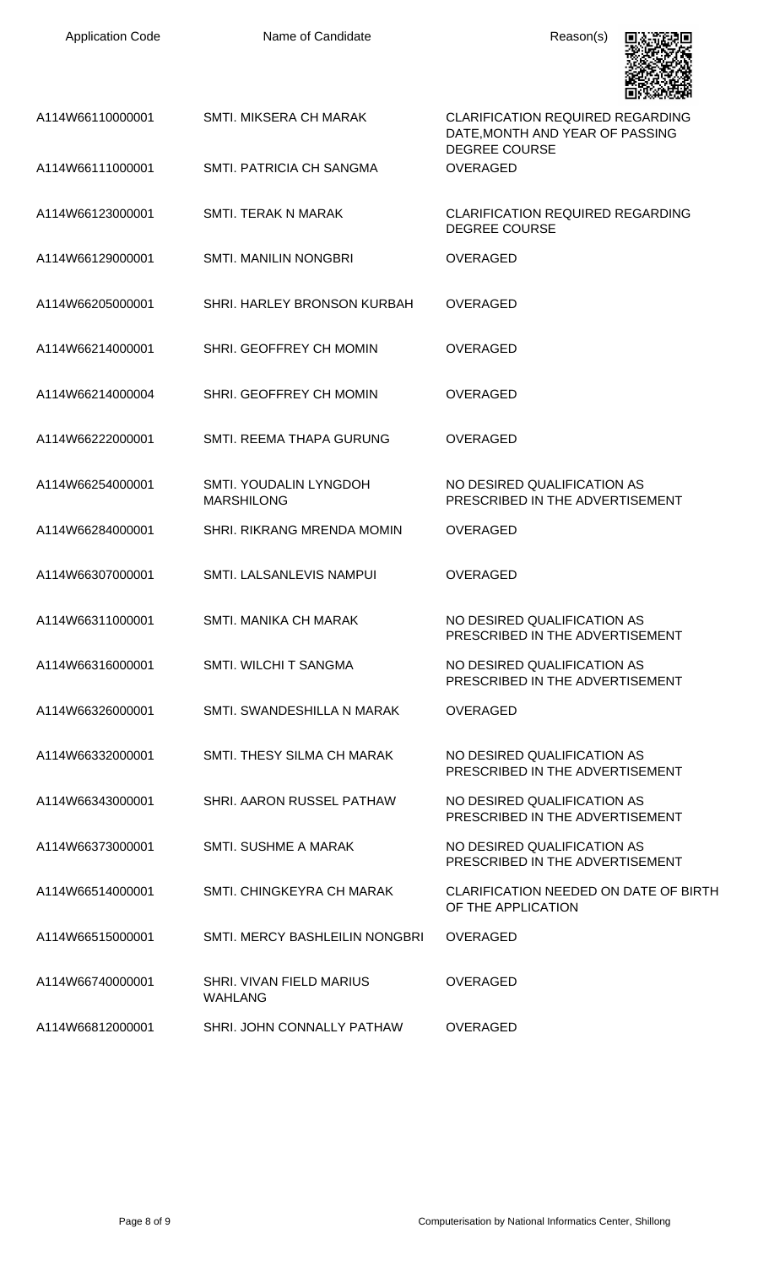| A114W66110000001 | <b>SMTI. MIKSERA CH MARAK</b>               | <b>CLARIFICATION REQUIRED REGARDING</b><br>DATE, MONTH AND YEAR OF PASSING<br><b>DEGREE COURSE</b> |
|------------------|---------------------------------------------|----------------------------------------------------------------------------------------------------|
| A114W66111000001 | SMTI. PATRICIA CH SANGMA                    | <b>OVERAGED</b>                                                                                    |
| A114W66123000001 | SMTI. TERAK N MARAK                         | <b>CLARIFICATION REQUIRED REGARDING</b><br><b>DEGREE COURSE</b>                                    |
| A114W66129000001 | <b>SMTI. MANILIN NONGBRI</b>                | <b>OVERAGED</b>                                                                                    |
| A114W66205000001 | SHRI. HARLEY BRONSON KURBAH                 | <b>OVERAGED</b>                                                                                    |
| A114W66214000001 | SHRI. GEOFFREY CH MOMIN                     | <b>OVERAGED</b>                                                                                    |
| A114W66214000004 | SHRI. GEOFFREY CH MOMIN                     | <b>OVERAGED</b>                                                                                    |
| A114W66222000001 | SMTI. REEMA THAPA GURUNG                    | <b>OVERAGED</b>                                                                                    |
| A114W66254000001 | SMTI. YOUDALIN LYNGDOH<br><b>MARSHILONG</b> | NO DESIRED QUALIFICATION AS<br>PRESCRIBED IN THE ADVERTISEMENT                                     |
| A114W66284000001 | SHRI. RIKRANG MRENDA MOMIN                  | <b>OVERAGED</b>                                                                                    |
| A114W66307000001 | SMTI. LALSANLEVIS NAMPUI                    | <b>OVERAGED</b>                                                                                    |
| A114W66311000001 | SMTI. MANIKA CH MARAK                       | NO DESIRED QUALIFICATION AS<br>PRESCRIBED IN THE ADVERTISEMENT                                     |
| A114W66316000001 | SMTI. WILCHI T SANGMA                       | NO DESIRED QUALIFICATION AS<br>PRESCRIBED IN THE ADVERTISEMENT                                     |
| A114W66326000001 | SMTI. SWANDESHILLA N MARAK                  | <b>OVERAGED</b>                                                                                    |
| A114W66332000001 | SMTI, THESY SILMA CH MARAK                  | NO DESIRED QUALIFICATION AS<br>PRESCRIBED IN THE ADVERTISEMENT                                     |
| A114W66343000001 | SHRI. AARON RUSSEL PATHAW                   | NO DESIRED QUALIFICATION AS<br>PRESCRIBED IN THE ADVERTISEMENT                                     |
| A114W66373000001 | SMTI. SUSHME A MARAK                        | NO DESIRED QUALIFICATION AS<br>PRESCRIBED IN THE ADVERTISEMENT                                     |
| A114W66514000001 | SMTI. CHINGKEYRA CH MARAK                   | CLARIFICATION NEEDED ON DATE OF BIRTH<br>OF THE APPLICATION                                        |
| A114W66515000001 | SMTI. MERCY BASHLEILIN NONGBRI              | <b>OVERAGED</b>                                                                                    |
| A114W66740000001 | SHRI. VIVAN FIELD MARIUS<br><b>WAHLANG</b>  | <b>OVERAGED</b>                                                                                    |
| A114W66812000001 | SHRI. JOHN CONNALLY PATHAW                  | <b>OVERAGED</b>                                                                                    |

具状斑鸠